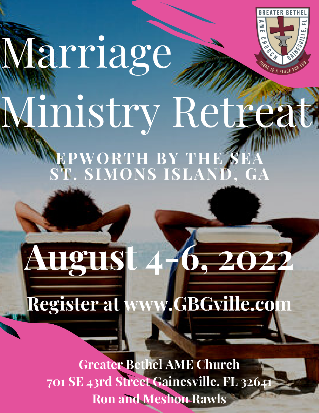

# Marriage Ministry Retreat

**August 4-6, 2022**

**EPWORTH BY THE SEA ST. SIMONS ISLAND, GA**

**Greater Bethel AME Church 701 SE 43rd Street Gainesville, FL 32641 Ron and Meshon Rawls**

**Register at www.GBGville.com**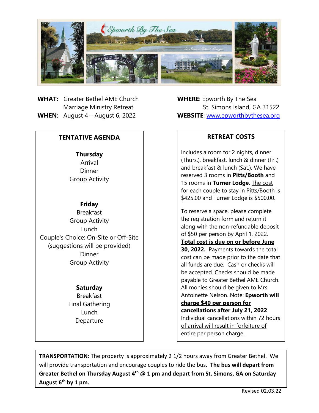

**WHAT:** Greater Bethel AME Church **WHERE**: Epworth By The Sea

# **TENTATIVE AGENDA**

**Thursday** Arrival Dinner Group Activity

# **Friday**

Breakfast Group Activity Lunch Couple's Choice: On-Site or Off-Site (suggestions will be provided) Dinner Group Activity

## **Saturday**

Breakfast Final Gathering Lunch Departure

**Marriage Ministry Retreat St. Simons Island, GA 31522 WHEN**: August 4 – August 6, 2022 **WEBSITE**: [www.epworthbythesea.org](http://www.epworthbythesea.org/)

# **RETREAT COSTS**

Includes a room for 2 nights, dinner (Thurs.), breakfast, lunch & dinner (Fri.) and breakfast & lunch (Sat.). We have reserved 3 rooms in **Pitts/Booth** and 15 rooms in **Turner Lodge**. The cost for each couple to stay in Pitts/Booth is \$425.00 and Turner Lodge is \$500.00.

To reserve a space, please complete the registration form and return it along with the non-refundable deposit of \$50 per person by April 1, 2022. **Total cost is due on or before June 30, 2022.** Payments towards the total cost can be made prior to the date that all funds are due. Cash or checks will be accepted. Checks should be made payable to Greater Bethel AME Church. All monies should be given to Mrs. Antoinette Nelson. Note: **Epworth will charge \$40 per person for cancellations after July 21, 2022**. Individual cancellations within 72 hours of arrival will result in forfeiture of entire per person charge.

August  $6^{th}$  by 1 pm. T **TRANSPORTATION**: The property is approximately 2 1/2 hours away from Greater Bethel. We will provide transportation and encourage couples to ride the bus. **The bus will depart from Greater Bethel on Thursday August 4th @ 1 pm and depart from St. Simons, GA on Saturday**